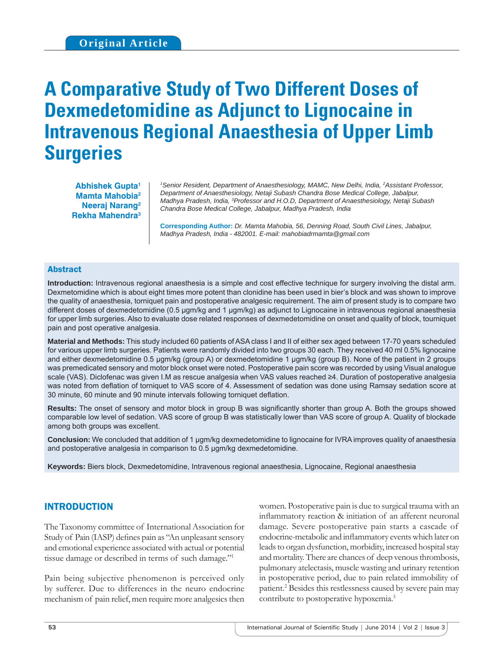# **A Comparative Study of Two Different Doses of Dexmedetomidine as Adjunct to Lignocaine in Intravenous Regional Anaesthesia of Upper Limb Surgeries**

**Abhishek Gupta1 Mamta Mahobia2 Neeraj Narang2 Rekha Mahendra3**

*1 Senior Resident, Department of Anaesthesiology, MAMC, New Delhi, India, 2 Assistant Professor, Department of Anaesthesiology, Netaji Subash Chandra Bose Medical College, Jabalpur, Madhya Pradesh, India, 3 Professor and H.O.D, Department of Anaesthesiology, Netaji Subash Chandra Bose Medical College, Jabalpur, Madhya Pradesh, India*

**Corresponding Author:** *Dr. Mamta Mahobia, 56, Denning Road, South Civil Lines, Jabalpur, Madhya Pradesh, India - 482001. E-mail: mahobiadrmamta@gmail.com*

#### Abstract

**Introduction:** Intravenous regional anaesthesia is a simple and cost effective technique for surgery involving the distal arm. Dexmetomidine which is about eight times more potent than clonidine has been used in bier's block and was shown to improve the quality of anaesthesia, torniquet pain and postoperative analgesic requirement. The aim of present study is to compare two different doses of dexmedetomidine (0.5 μgm/kg and 1 μgm/kg) as adjunct to Lignocaine in intravenous regional anaesthesia for upper limb surgeries. Also to evaluate dose related responses of dexmedetomidine on onset and quality of block, tourniquet pain and post operative analgesia.

**Material and Methods:** This study included 60 patients of ASA class I and II of either sex aged between 17-70 years scheduled for various upper limb surgeries. Patients were randomly divided into two groups 30 each. They received 40 ml 0.5% lignocaine and either dexmedetomidine 0.5 μgm/kg (group A) or dexmedetomidine 1 μgm/kg (group B). None of the patient in 2 groups was premedicated sensory and motor block onset were noted. Postoperative pain score was recorded by using Visual analogue scale (VAS). Diclofenac was given I.M as rescue analgesia when VAS values reached ≥4. Duration of postoperative analgesia was noted from deflation of torniquet to VAS score of 4. Assessment of sedation was done using Ramsay sedation score at 30 minute, 60 minute and 90 minute intervals following torniquet deflation.

**Results:** The onset of sensory and motor block in group B was significantly shorter than group A. Both the groups showed comparable low level of sedation. VAS score of group B was statistically lower than VAS score of group A. Quality of blockade among both groups was excellent.

**Conclusion:** We concluded that addition of 1 μgm/kg dexmedetomidine to lignocaine for IVRA improves quality of anaesthesia and postoperative analgesia in comparison to 0.5 μgm/kg dexmedetomidine.

**Keywords:** Biers block, Dexmedetomidine, Intravenous regional anaesthesia, Lignocaine, Regional anaesthesia

# INTRODUCTION

The Taxonomy committee of International Association for Study of Pain (IASP) defines pain as "An unpleasant sensory and emotional experience associated with actual or potential tissue damage or described in terms of such damage."1

Pain being subjective phenomenon is perceived only by sufferer. Due to differences in the neuro endocrine mechanism of pain relief, men require more analgesics then

women. Postoperative pain is due to surgical trauma with an inflammatory reaction & initiation of an afferent neuronal damage. Severe postoperative pain starts a cascade of endocrine-metabolic and inflammatory events which later on leads to organ dysfunction, morbidity, increased hospital stay and mortality. There are chances of deep venous thrombosis, pulmonary atelectasis, muscle wasting and urinary retention in postoperative period, due to pain related immobility of patient.<sup>2</sup> Besides this restlessness caused by severe pain may contribute to postoperative hypoxemia.3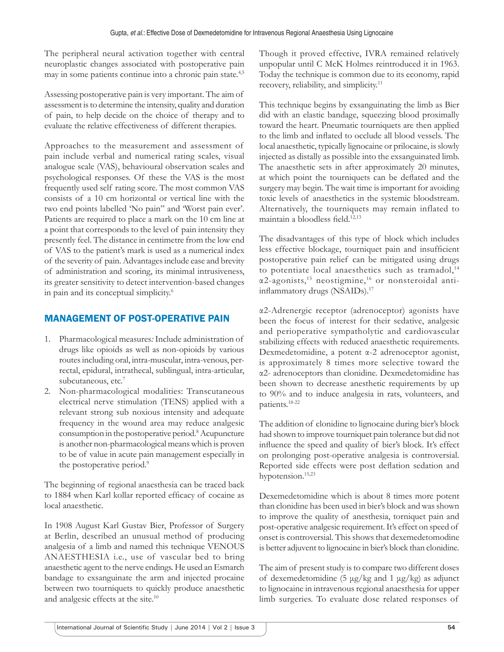The peripheral neural activation together with central neuroplastic changes associated with postoperative pain may in some patients continue into a chronic pain state.<sup>4,5</sup>

Assessing postoperative pain is very important. The aim of assessment is to determine the intensity, quality and duration of pain, to help decide on the choice of therapy and to evaluate the relative effectiveness of different therapies.

Approaches to the measurement and assessment of pain include verbal and numerical rating scales, visual analogue scale (VAS), behavioural observation scales and psychological responses. Of these the VAS is the most frequently used self rating score. The most common VAS consists of a 10 cm horizontal or vertical line with the two end points labelled 'No pain" and 'Worst pain ever'. Patients are required to place a mark on the 10 cm line at a point that corresponds to the level of pain intensity they presently feel. The distance in centimetre from the low end of VAS to the patient's mark is used as a numerical index of the severity of pain. Advantages include ease and brevity of administration and scoring, its minimal intrusiveness, its greater sensitivity to detect intervention-based changes in pain and its conceptual simplicity.6

# MANAGEMENT OF POST-OPERATIVE PAIN

- 1. Pharmacological measures*:* Include administration of drugs like opioids as well as non-opioids by various routes including oral, intra-muscular, intra-venous, perrectal, epidural, intrathecal, sublingual, intra-articular, subcutaneous, etc.<sup>7</sup>
- 2. Non-pharmacological modalities: Transcutaneous electrical nerve stimulation (TENS) applied with a relevant strong sub noxious intensity and adequate frequency in the wound area may reduce analgesic consumption in the postoperative period.8 Acupuncture is another non-pharmacological means which is proven to be of value in acute pain management especially in the postoperative period.<sup>9</sup>

The beginning of regional anaesthesia can be traced back to 1884 when Karl kollar reported efficacy of cocaine as local anaesthetic.

In 1908 August Karl Gustav Bier, Professor of Surgery at Berlin, described an unusual method of producing analgesia of a limb and named this technique VENOUS ANAESTHESIA i.e., use of vascular bed to bring anaesthetic agent to the nerve endings. He used an Esmarch bandage to exsanguinate the arm and injected procaine between two tourniquets to quickly produce anaesthetic and analgesic effects at the site.10

Though it proved effective, IVRA remained relatively unpopular until C McK Holmes reintroduced it in 1963. Today the technique is common due to its economy, rapid recovery, reliability, and simplicity.11

This technique begins by exsanguinating the limb as Bier did with an elastic bandage, squeezing blood proximally toward the heart. Pneumatic tourniquets are then applied to the limb and inflated to occlude all blood vessels. The local anaesthetic, typically lignocaine or prilocaine, is slowly injected as distally as possible into the exsanguinated limb. The anaesthetic sets in after approximately 20 minutes, at which point the tourniquets can be deflated and the surgery may begin. The wait time is important for avoiding toxic levels of anaesthetics in the systemic bloodstream. Alternatively, the tourniquets may remain inflated to maintain a bloodless field. $12,13$ 

The disadvantages of this type of block which includes less effective blockage, tourniquet pain and insufficient postoperative pain relief can be mitigated using drugs to potentiate local anaesthetics such as tramadol, $14$ α2-agonists,15 neostigmine,16 or nonsteroidal antiinflammatory drugs (NSAIDs).<sup>17</sup>

α2-Adrenergic receptor (adrenoceptor) agonists have been the focus of interest for their sedative, analgesic and perioperative sympatholytic and cardiovascular stabilizing effects with reduced anaesthetic requirements. Dexmedetomidine, a potent α-2 adrenoceptor agonist, is approximately 8 times more selective toward the α2- adrenoceptors than clonidine. Dexmedetomidine has been shown to decrease anesthetic requirements by up to 90% and to induce analgesia in rats, volunteers, and patients.18-22

The addition of clonidine to lignocaine during bier's block had shown to improve tourniquet pain tolerance but did not influence the speed and quality of bier's block. It's effect on prolonging post-operative analgesia is controversial. Reported side effects were post deflation sedation and hypotension.15,23

Dexemedetomidine which is about 8 times more potent than clonidine has been used in bier's block and was shown to improve the quality of anesthesia, torniquet pain and post-operative analgesic requirement. It's effect on speed of onset is controversial. This shows that dexemedetomodine is better adjuvent to lignocaine in bier's block than clonidine.

The aim of present study is to compare two different doses of dexemedetomidine (5 μg/kg and 1 μg/kg) as adjunct to lignocaine in intravenous regional anaesthesia for upper limb surgeries. To evaluate dose related responses of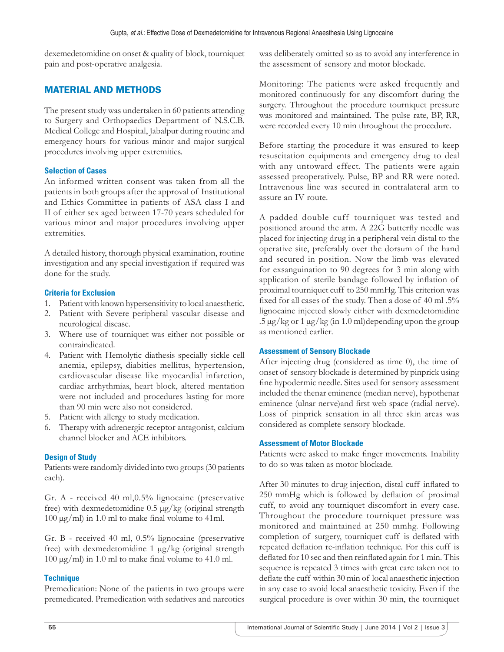dexemedetomidine on onset & quality of block, tourniquet pain and post-operative analgesia.

# MATERIAL AND METHODS

The present study was undertaken in 60 patients attending to Surgery and Orthopaedics Department of N.S.C.B. Medical College and Hospital, Jabalpur during routine and emergency hours for various minor and major surgical procedures involving upper extremities.

## **Selection of Cases**

An informed written consent was taken from all the patients in both groups after the approval of Institutional and Ethics Committee in patients of ASA class I and II of either sex aged between 17-70 years scheduled for various minor and major procedures involving upper extremities.

A detailed history, thorough physical examination, routine investigation and any special investigation if required was done for the study.

# **Criteria for Exclusion**

- 1. Patient with known hypersensitivity to local anaesthetic.
- 2. Patient with Severe peripheral vascular disease and neurological disease.
- 3. Where use of tourniquet was either not possible or contraindicated.
- 4. Patient with Hemolytic diathesis specially sickle cell anemia, epilepsy, diabities mellitus, hypertension, cardiovascular disease like myocardial infarction, cardiac arrhythmias, heart block, altered mentation were not included and procedures lasting for more than 90 min were also not considered.
- 5. Patient with allergy to study medication.
- 6. Therapy with adrenergic receptor antagonist, calcium channel blocker and ACE inhibitors.

# **Design of Study**

Patients were randomly divided into two groups (30 patients each).

Gr. A - received 40 ml,0.5% lignocaine (preservative free) with dexmedetomidine 0.5 μg/kg (original strength  $100 \mu g/ml$ ) in 1.0 ml to make final volume to 41ml.

Gr. B - received 40 ml, 0.5% lignocaine (preservative free) with dexmedetomidine 1 μg/kg (original strength  $100 \mu g/ml$ ) in 1.0 ml to make final volume to 41.0 ml.

#### **Technique**

Premedication: None of the patients in two groups were premedicated. Premedication with sedatives and narcotics was deliberately omitted so as to avoid any interference in the assessment of sensory and motor blockade.

Monitoring: The patients were asked frequently and monitored continuously for any discomfort during the surgery. Throughout the procedure tourniquet pressure was monitored and maintained. The pulse rate, BP, RR, were recorded every 10 min throughout the procedure.

Before starting the procedure it was ensured to keep resuscitation equipments and emergency drug to deal with any untoward effect. The patients were again assessed preoperatively. Pulse, BP and RR were noted. Intravenous line was secured in contralateral arm to assure an IV route.

A padded double cuff tourniquet was tested and positioned around the arm. A 22G butterfly needle was placed for injecting drug in a peripheral vein distal to the operative site, preferably over the dorsum of the hand and secured in position. Now the limb was elevated for exsanguination to 90 degrees for 3 min along with application of sterile bandage followed by inflation of proximal tourniquet cuff to 250 mmHg. This criterion was fixed for all cases of the study. Then a dose of 40 ml .5% lignocaine injected slowly either with dexmedetomidine  $.5 \,\mu$ g/kg or 1  $\mu$ g/kg (in 1.0 ml)depending upon the group as mentioned earlier.

#### **Assessment of Sensory Blockade**

After injecting drug (considered as time 0), the time of onset of sensory blockade is determined by pinprick using fine hypodermic needle. Sites used for sensory assessment included the thenar eminence (median nerve), hypothenar eminence (ulnar nerve)and first web space (radial nerve). Loss of pinprick sensation in all three skin areas was considered as complete sensory blockade.

#### **Assessment of Motor Blockade**

Patients were asked to make finger movements. Inability to do so was taken as motor blockade.

After 30 minutes to drug injection, distal cuff inflated to 250 mmHg which is followed by deflation of proximal cuff, to avoid any tourniquet discomfort in every case. Throughout the procedure tourniquet pressure was monitored and maintained at 250 mmhg. Following completion of surgery, tourniquet cuff is deflated with repeated deflation re-inflation technique. For this cuff is deflated for 10 sec and then reinflated again for 1 min. This sequence is repeated 3 times with great care taken not to deflate the cuff within 30 min of local anaesthetic injection in any case to avoid local anaesthetic toxicity. Even if the surgical procedure is over within 30 min, the tourniquet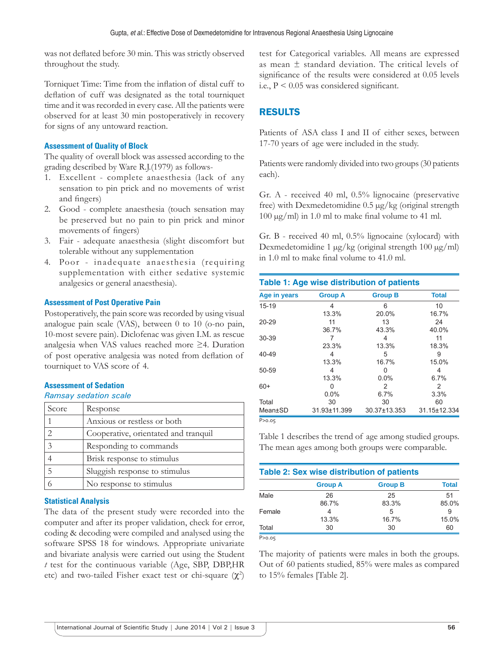was not deflated before 30 min. This was strictly observed throughout the study.

Torniquet Time: Time from the inflation of distal cuff to deflation of cuff was designated as the total tourniquet time and it was recorded in every case. All the patients were observed for at least 30 min postoperatively in recovery for signs of any untoward reaction.

### **Assessment of Quality of Block**

The quality of overall block was assessed according to the grading described by Ware R.J.(1979) as follows-

- 1. Excellent complete anaesthesia (lack of any sensation to pin prick and no movements of wrist and fingers)
- 2. Good complete anaesthesia (touch sensation may be preserved but no pain to pin prick and minor movements of fingers)
- 3. Fair adequate anaesthesia (slight discomfort but tolerable without any supplementation
- 4. Poor inadequate anaesthesia (requiring supplementation with either sedative systemic analgesics or general anaesthesia).

#### **Assessment of Post Operative Pain**

Postoperatively, the pain score was recorded by using visual analogue pain scale (VAS), between 0 to 10 (o-no pain, 10-most severe pain). Diclofenac was given I.M. as rescue analgesia when VAS values reached more ≥4. Duration of post operative analgesia was noted from deflation of tourniquet to VAS score of 4.

#### **Assessment of Sedation**

#### *Ramsay sedation scale*

| Score                       | Response                             |
|-----------------------------|--------------------------------------|
| 1                           | Anxious or restless or both          |
| $\mathcal{D}_{\mathcal{L}}$ | Cooperative, orientated and tranquil |
| 3                           | Responding to commands               |
|                             | Brisk response to stimulus           |
| 5                           | Sluggish response to stimulus        |
|                             | No response to stimulus              |

#### **Statistical Analysis**

The data of the present study were recorded into the computer and after its proper validation, check for error, coding & decoding were compiled and analysed using the software SPSS 18 for windows. Appropriate univariate and bivariate analysis were carried out using the Student *t* test for the continuous variable (Age, SBP, DBP,HR etc) and two-tailed Fisher exact test or chi-square  $(\chi^2)$  test for Categorical variables. All means are expressed as mean ± standard deviation. The critical levels of significance of the results were considered at 0.05 levels i.e.,  $P < 0.05$  was considered significant.

# RESULTS

Patients of ASA class I and II of either sexes, between 17-70 years of age were included in the study.

Patients were randomly divided into two groups (30 patients each).

Gr. A - received 40 ml, 0.5% lignocaine (preservative free) with Dexmedetomidine 0.5 μg/kg (original strength  $100 \mu g/ml$  in 1.0 ml to make final volume to 41 ml.

Gr. B - received 40 ml, 0.5% lignocaine (xylocard) with Dexmedetomidine 1 μg/kg (original strength 100 μg/ml) in  $1.0$  ml to make final volume to  $41.0$  ml.

| Table 1: Age wise distribution of patients |                |                |              |  |
|--------------------------------------------|----------------|----------------|--------------|--|
| Age in years                               | <b>Group A</b> | <b>Group B</b> | <b>Total</b> |  |
| $15 - 19$                                  | 4              | 6              | 10           |  |
|                                            | 13.3%          | 20.0%          | 16.7%        |  |
| $20 - 29$                                  | 11             | 13             | 24           |  |
|                                            | 36.7%          | 43.3%          | 40.0%        |  |
| 30-39                                      |                | 4              | 11           |  |
|                                            | 23.3%          | 13.3%          | 18.3%        |  |
| 40-49                                      | 4              | 5              | 9            |  |
|                                            | 13.3%          | 16.7%          | 15.0%        |  |
| 50-59                                      | 4              | U              | 4            |  |
|                                            | 13.3%          | $0.0\%$        | 6.7%         |  |
| $60+$                                      | Ω              | 2              | 2            |  |
|                                            | $0.0\%$        | 6.7%           | 3.3%         |  |
| Total                                      | 30             | 30             | 60           |  |
| Mean±SD                                    | 31.93±11.399   | 30.37±13.353   | 31.15±12.334 |  |
| P > 0.05                                   |                |                |              |  |

Table 1 describes the trend of age among studied groups. The mean ages among both groups were comparable.

| Table 2: Sex wise distribution of patients |                |                |              |  |
|--------------------------------------------|----------------|----------------|--------------|--|
|                                            | <b>Group A</b> | <b>Group B</b> | <b>Total</b> |  |
| Male                                       | 26             | 25             | 51           |  |
|                                            | 86.7%          | 83.3%          | 85.0%        |  |
| Female                                     |                | 5              | 9            |  |
|                                            | 13.3%          | 16.7%          | 15.0%        |  |
| Total                                      | 30             | 30             | 60           |  |
| P > 0.05                                   |                |                |              |  |

The majority of patients were males in both the groups. Out of 60 patients studied, 85% were males as compared to 15% females [Table 2].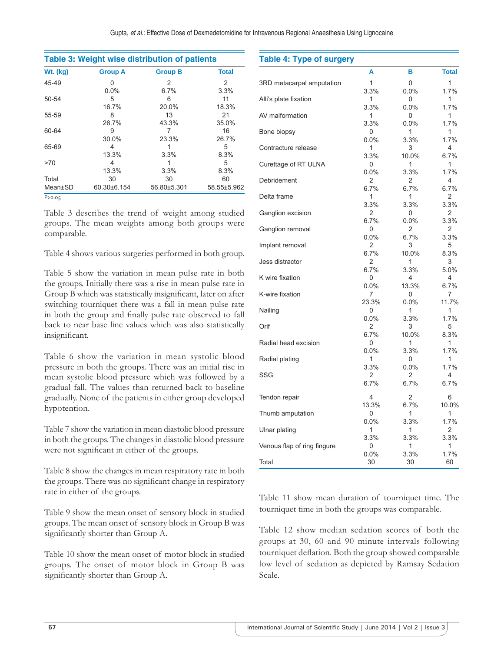| <b>Wt.</b> (kg) | <b>Group A</b> | <b>Group B</b> | <b>Total</b> |
|-----------------|----------------|----------------|--------------|
| 45-49           | U              | 2              | 2            |
|                 | $0.0\%$        | 6.7%           | 3.3%         |
| 50-54           | 5              | 6              | 11           |
|                 | 16.7%          | 20.0%          | 18.3%        |
| 55-59           | 8              | 13             | 21           |
|                 | 26.7%          | 43.3%          | 35.0%        |
| 60-64           | 9              |                | 16           |
|                 | 30.0%          | 23.3%          | 26.7%        |
| 65-69           | 4              |                | 5            |
|                 | 13.3%          | 3.3%           | 8.3%         |
| >70             | 4              |                | 5            |
|                 | 13.3%          | 3.3%           | 8.3%         |
| Total           | 30             | 30             | 60           |
| Mean±SD         | 60.30±6.154    | 56.80±5.301    | 58.55±5.962  |

Table 3 describes the trend of weight among studied groups. The mean weights among both groups were comparable.

Table 4 shows various surgeries performed in both group.

Table 5 show the variation in mean pulse rate in both the groups. Initially there was a rise in mean pulse rate in Group B which was statistically insignificant, later on after switching tourniquet there was a fall in mean pulse rate in both the group and finally pulse rate observed to fall back to near base line values which was also statistically insignificant.

Table 6 show the variation in mean systolic blood pressure in both the groups. There was an initial rise in mean systolic blood pressure which was followed by a gradual fall. The values than returned back to baseline gradually. None of the patients in either group developed hypotention.

Table 7 show the variation in mean diastolic blood pressure in both the groups. The changes in diastolic blood pressure were not significant in either of the groups.

Table 8 show the changes in mean respiratory rate in both the groups. There was no significant change in respiratory rate in either of the groups.

Table 9 show the mean onset of sensory block in studied groups. The mean onset of sensory block in Group B was significantly shorter than Group A.

Table 10 show the mean onset of motor block in studied groups. The onset of motor block in Group B was significantly shorter than Group A.

| <b>Table 4: Type of surgery</b> |            |           |              |
|---------------------------------|------------|-----------|--------------|
|                                 | A          | в         | <b>Total</b> |
| 3RD metacarpal amputation       | 1          | 0         | 1            |
|                                 | 3.3%       | 0.0%      | 1.7%         |
| Alli's plate fixation           | 1          | 0         | 1            |
|                                 | 3.3%       | 0.0%      | 1.7%         |
| AV malformation                 | 1          | 0         | 1            |
|                                 | 3.3%       | 0.0%      | 1.7%         |
| Bone biopsy                     | 0          | 1         | 1            |
|                                 | 0.0%       | 3.3%      | 1.7%         |
| Contracture release             | 1          | 3         | 4            |
|                                 | 3.3%       | 10.0%     | 6.7%         |
| Curettage of RT ULNA            | 0          | 1         | 1            |
|                                 | 0.0%       | 3.3%      | 1.7%         |
| Debridement                     | 2          | 2         | 4            |
|                                 | 6.7%       | 6.7%      | 6.7%         |
| Delta frame                     | 1          | 1         | 2            |
|                                 | 3.3%       | 3.3%      | 3.3%         |
| Ganglion excision               | 2          | 0         | 2            |
|                                 | 6.7%       | 0.0%      | 3.3%         |
| Ganglion removal                | 0          | 2         | 2            |
|                                 | 0.0%       | 6.7%      | 3.3%         |
| Implant removal                 | 2          | 3         | 5            |
|                                 | 6.7%       | 10.0%     | 8.3%         |
| Jess distractor                 | 2          | 1         | 3            |
|                                 | 6.7%       | 3.3%      | 5.0%         |
| K wire fixation                 | 0          | 4         | 4            |
|                                 | $0.0\%$    | 13.3%     | 6.7%         |
| K-wire fixation                 | 7          | 0         | 7            |
|                                 | 23.3%<br>0 | 0.0%<br>1 | 11.7%        |
| Nailing                         | 0.0%       | 3.3%      | 1<br>1.7%    |
| Orif                            | 2          | 3         | 5            |
|                                 | 6.7%       | 10.0%     | 8.3%         |
| Radial head excision            | 0          | 1         | 1            |
|                                 | 0.0%       | 3.3%      | 1.7%         |
| Radial plating                  | 1          | 0         | 1            |
|                                 | 3.3%       | 0.0%      | 1.7%         |
| SSG                             | 2          | 2         | 4            |
|                                 | 6.7%       | 6.7%      | 6.7%         |
|                                 |            |           |              |
| Tendon repair                   | 4          | 2         | 6            |
|                                 | 13.3%      | 6.7%      | 10.0%        |
| Thumb amputation                | 0          | 1         | 1            |
|                                 | 0.0%       | 3.3%      | 1.7%         |
| Ulnar plating                   | 1          | 1         | 2            |
|                                 | 3.3%       | 3.3%      | 3.3%         |
| Venous flap of ring fingure     | 0          | 1         | 1            |
|                                 | 0.0%       | 3.3%      | 1.7%         |
| Total                           | 30         | 30        | 60           |

Table 11 show mean duration of tourniquet time. The tourniquet time in both the groups was comparable.

Table 12 show median sedation scores of both the groups at 30, 60 and 90 minute intervals following tourniquet deflation. Both the group showed comparable low level of sedation as depicted by Ramsay Sedation Scale.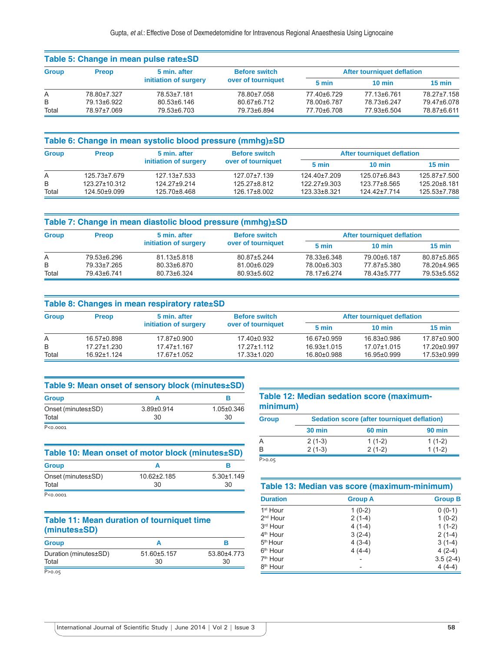|              | Table 5: Change in mean pulse rate±SD |                                                                                     |                            |             |                  |                  |  |
|--------------|---------------------------------------|-------------------------------------------------------------------------------------|----------------------------|-------------|------------------|------------------|--|
| <b>Group</b> | <b>Preop</b>                          | 5 min. after<br><b>Before switch</b><br>initiation of surgery<br>over of tourniquet | After tourniquet deflation |             |                  |                  |  |
|              |                                       |                                                                                     |                            | 5 min       | $10 \text{ min}$ | $15 \text{ min}$ |  |
| Α            | 78.80±7.327                           | 78.53±7.181                                                                         | 78.80±7.058                | 77.40±6.729 | 77.13±6.761      | 78.27±7.158      |  |
| B            | 79.13±6.922                           | 80.53±6.146                                                                         | 80.67±6.712                | 78.00±6.787 | 78.73±6.247      | 79.47±6.078      |  |
| Total        | 78.97±7.069                           | 79.53±6.703                                                                         | 79.73±6.894                | 77.70±6.708 | 77.93±6.504      | 78.87±6.611      |  |

| Table 6: Change in mean systolic blood pressure (mmhg)±SD |               |                                                                                     |              |                            |                  |                  |  |
|-----------------------------------------------------------|---------------|-------------------------------------------------------------------------------------|--------------|----------------------------|------------------|------------------|--|
| <b>Group</b>                                              | <b>Preop</b>  | <b>Before switch</b><br>5 min. after<br>initiation of surgery<br>over of tourniquet |              | After tourniquet deflation |                  |                  |  |
|                                                           |               |                                                                                     |              | 5 min                      | $10 \text{ min}$ | $15 \text{ min}$ |  |
| A                                                         | 125.73±7.679  | $127.13 \pm 7.533$                                                                  | 127.07±7.139 | 124.40±7.209               | 125.07±6.843     | 125.87±7.500     |  |
| B                                                         | 123.27±10.312 | 124.27±9.214                                                                        | 125.27±8.812 | 122.27±9.303               | 123.77±8.565     | 125.20±8.181     |  |
| Total                                                     | 124.50±9.099  | 125.70±8.468                                                                        | 126.17±8.002 | 123.33±8.321               | 124.42±7.714     | 125.53±7.788     |  |

|              | Table 7: Change in mean diastolic blood pressure (mmhg)±SD                                          |                                   |             |             |                  |                  |  |
|--------------|-----------------------------------------------------------------------------------------------------|-----------------------------------|-------------|-------------|------------------|------------------|--|
| <b>Group</b> | 5 min. after<br><b>Before switch</b><br><b>Preop</b><br>initiation of surgery<br>over of tourniquet | <b>After tourniquet deflation</b> |             |             |                  |                  |  |
|              |                                                                                                     |                                   |             | 5 min       | $10 \text{ min}$ | $15 \text{ min}$ |  |
| A            | 79.53±6.296                                                                                         | $81.13 \pm 5.818$                 | 80.87±5.244 | 78.33±6.348 | 79.00±6.187      | 80.87±5.865      |  |
| B            | 79.33±7.265                                                                                         | 80.33±6.870                       | 81.00±6.029 | 78.00±6.303 | 77.87±5.380      | 78.20±4.965      |  |
| Total        | 79.43±6.741                                                                                         | 80.73±6.324                       | 80.93±5.602 | 78.17±6.274 | 78.43±5.777      | 79.53±5.552      |  |

|              | Table 8: Changes in mean respiratory rate ± SD |                       |                      |             |                                   |                  |  |
|--------------|------------------------------------------------|-----------------------|----------------------|-------------|-----------------------------------|------------------|--|
| <b>Group</b> | <b>Preop</b>                                   | 5 min. after          | <b>Before switch</b> |             | <b>After tourniquet deflation</b> |                  |  |
|              |                                                | initiation of surgery | over of tourniquet   | 5 min       | $10 \text{ min}$                  | $15 \text{ min}$ |  |
| A            | 16.57±0.898                                    | 17.87±0.900           | 17.40±0.932          | 16.67±0.959 | 16.83±0.986                       | 17.87±0.900      |  |
| B            | 17.27±1.230                                    | 17.47±1.167           | 17 27 + 1 11 2       | 16.93±1.015 | 17.07±1.015                       | 17.20±0.997      |  |
| Total        | 16.92±1.124                                    | 17.67±1.052           | 17.33±1.020          | 16.80±0.988 | 16.95±0.999                       | 17.53±0.999      |  |

| Table 9: Mean onset of sensory block (minutes±SD) |                        |                        |  |  |
|---------------------------------------------------|------------------------|------------------------|--|--|
| <b>Group</b>                                      |                        |                        |  |  |
| Onset (minutes±SD)<br>Total                       | $3.89 \pm 0.914$<br>30 | $1.05 \pm 0.346$<br>30 |  |  |
| P<0.0001                                          |                        |                        |  |  |

| Table 10: Mean onset of motor block (minutes±SD) |                   |                  |  |  |
|--------------------------------------------------|-------------------|------------------|--|--|
| <b>Group</b>                                     |                   |                  |  |  |
| Onset (minutes±SD)                               | $10.62 \pm 2.185$ | $5.30 \pm 1.149$ |  |  |
| Total                                            | 30                | 30               |  |  |
| P<0.0001                                         |                   |                  |  |  |

# **Table 11: Mean duration of tourniquet time (minutes±SD)**

| <b>Group</b>          |             |             |
|-----------------------|-------------|-------------|
| Duration (minutes±SD) | 51.60±5.157 | 53.80±4.773 |
| Total                 | 30          | 30          |
| P > 0.05              |             |             |

## **Table 12: Median sedation score (maximumminimum)**

| <b>Group</b> | Sedation score (after tourniquet deflation) |          |          |  |
|--------------|---------------------------------------------|----------|----------|--|
|              | <b>30 min</b>                               | 60 min   | 90 min   |  |
| A            | $2(1-3)$                                    | $1(1-2)$ | $1(1-2)$ |  |
| B            | $2(1-3)$                                    | $2(1-2)$ | $1(1-2)$ |  |
| P > 0.05     |                                             |          |          |  |

| Table 13: Median vas score (maximum-minimum) |                |                |  |
|----------------------------------------------|----------------|----------------|--|
| <b>Duration</b>                              | <b>Group A</b> | <b>Group B</b> |  |
| 1 <sup>st</sup> Hour                         | $1(0-2)$       | $0(0-1)$       |  |
| $2nd$ Hour                                   | $2(1-4)$       | $1(0-2)$       |  |
| 3rd Hour                                     | $4(1-4)$       | $1(1-2)$       |  |
| 4 <sup>th</sup> Hour                         | $3(2-4)$       | $2(1-4)$       |  |
| 5 <sup>th</sup> Hour                         | $4(3-4)$       | $3(1-4)$       |  |
| 6 <sup>th</sup> Hour                         | $4(4-4)$       | $4(2-4)$       |  |
| 7 <sup>th</sup> Hour                         |                | $3.5(2-4)$     |  |
| 8 <sup>th</sup> Hour                         |                | $4(4-4)$       |  |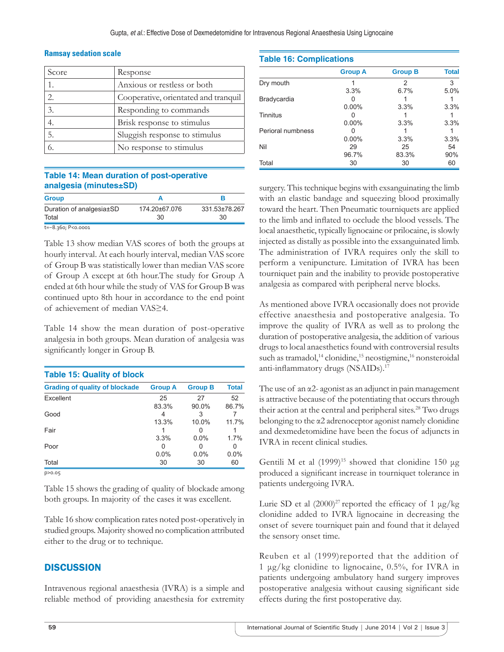#### **Ramsay sedation scale**

| Score                       | Response                             |
|-----------------------------|--------------------------------------|
|                             | Anxious or restless or both          |
| $\mathcal{D}_{\mathcal{L}}$ | Cooperative, orientated and tranquil |
| 3.                          | Responding to commands               |
|                             | Brisk response to stimulus           |
| 5.                          | Sluggish response to stimulus        |
|                             | No response to stimulus              |

#### **Table 14: Mean duration of post-operative analgesia (minutes±SD)**

| <b>Group</b>                      |                     |                     |
|-----------------------------------|---------------------|---------------------|
| Duration of analgesia±SD<br>Total | 174.20±67.076<br>30 | 331.53±78.267<br>30 |
| t=-8.360; P<0.0001                |                     |                     |

Table 13 show median VAS scores of both the groups at hourly interval. At each hourly interval, median VAS score of Group B was statistically lower than median VAS score of Group A except at 6th hour.The study for Group A ended at 6th hour while the study of VAS for Group B was continued upto 8th hour in accordance to the end point of achievement of median VAS≥4.

Table 14 show the mean duration of post-operative analgesia in both groups. Mean duration of analgesia was significantly longer in Group B.

| <b>Table 15: Quality of block</b>     |                |                |              |
|---------------------------------------|----------------|----------------|--------------|
| <b>Grading of quality of blockade</b> | <b>Group A</b> | <b>Group B</b> | <b>Total</b> |
| Excellent                             | 25             | 27             | 52           |
| Good                                  | 83.3%          | 90.0%<br>З     | 86.7%        |
|                                       | 13.3%          | 10.0%          | 11.7%        |
| Fair                                  | 3.3%           | $0.0\%$        | 1.7%         |
| Poor                                  | 0.0%           | $0.0\%$        | 0.0%         |
| Total                                 | 30             | 30             | 60           |
| D > 0.05                              |                |                |              |

Table 15 shows the grading of quality of blockade among both groups. In majority of the cases it was excellent.

Table 16 show complication rates noted post-operatively in studied groups. Majority showed no complication attributed either to the drug or to technique.

# **DISCUSSION**

Intravenous regional anaesthesia (IVRA) is a simple and reliable method of providing anaesthesia for extremity

| <b>Table 16: Complications</b> |                |                |              |
|--------------------------------|----------------|----------------|--------------|
|                                | <b>Group A</b> | <b>Group B</b> | <b>Total</b> |
| Dry mouth                      |                | 2              | 3            |
|                                | 3.3%           | 6.7%           | 5.0%         |
| Bradycardia                    |                |                |              |
|                                | $0.00\%$       | 3.3%           | 3.3%         |
| Tinnitus                       |                |                |              |
|                                | $0.00\%$       | 3.3%           | 3.3%         |
| Perioral numbness              |                |                |              |
|                                | $0.00\%$       | 3.3%           | 3.3%         |
| Nil                            | 29             | 25             | 54           |
|                                | 96.7%          | 83.3%          | 90%          |
| Total                          | 30             | 30             | 60           |

surgery. This technique begins with exsanguinating the limb with an elastic bandage and squeezing blood proximally toward the heart. Then Pneumatic tourniquets are applied to the limb and inflated to occlude the blood vessels. The local anaesthetic, typically lignocaine or prilocaine, is slowly injected as distally as possible into the exsanguinated limb. The administration of IVRA requires only the skill to perform a venipuncture. Limitation of IVRA has been tourniquet pain and the inability to provide postoperative analgesia as compared with peripheral nerve blocks.

As mentioned above IVRA occasionally does not provide effective anaesthesia and postoperative analgesia. To improve the quality of IVRA as well as to prolong the duration of postoperative analgesia, the addition of various drugs to local anaesthetics found with controversial results such as tramadol,<sup>14</sup> clonidine,<sup>15</sup> neostigmine,<sup>16</sup> nonsteroidal anti-inflammatory drugs (NSAIDs).<sup>17</sup>

The use of an α2- agonist as an adjunct in pain management is attractive because of the potentiating that occurs through their action at the central and peripheral sites.<sup>28</sup> Two drugs belonging to the α2 adrenoceptor agonist namely clonidine and dexmedetomidine have been the focus of adjuncts in IVRA in recent clinical studies.

Gentili M et al  $(1999)^{15}$  showed that clonidine 150 μg produced a significant increase in tourniquet tolerance in patients undergoing IVRA.

Lurie SD et al  $(2000)^{27}$  reported the efficacy of 1  $\mu$ g/kg clonidine added to IVRA lignocaine in decreasing the onset of severe tourniquet pain and found that it delayed the sensory onset time.

Reuben et al (1999)reported that the addition of 1 μg/kg clonidine to lignocaine, 0.5%, for IVRA in patients undergoing ambulatory hand surgery improves postoperative analgesia without causing significant side effects during the first postoperative day.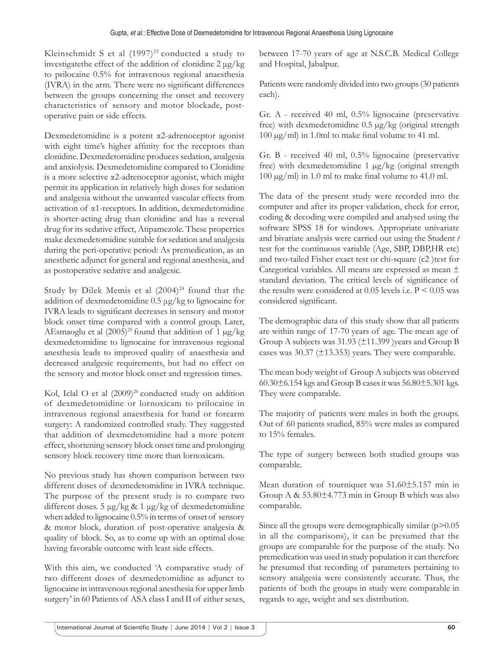Kleinschmidt S et al  $(1997)^{23}$  conducted a study to investigatethe effect of the addition of clonidine 2 μg/kg to prilocaine 0.5% for intravenous regional anaesthesia (IVRA) in the arm. There were no significant differences between the groups concerning the onset and recovery characteristics of sensory and motor blockade, postoperative pain or side effects.

Dexmedetomidine is a potent α2-adrenoceptor agonist with eight time's higher affinity for the receptors than clonidine. Dexmedetomidine produces sedation, analgesia and anxiolysis. Dexmedetomidine compared to Clonidine is a more selective α2-adrenoceptor agonist, which might permit its application in relatively high doses for sedation and analgesia without the unwanted vascular effects from activation of α1-receptors. In addition, dexmedetomidine is shorter-acting drug than clonidine and has a reversal drug for its sedative effect, Atipamezole. These properties make dexmedetomidine suitable for sedation and analgesia during the peri-operative period: As premedication, as an anesthetic adjunct for general and regional anesthesia, and as postoperative sedative and analgesic.

Study by Dilek Memis et al  $(2004)^{24}$  found that the addition of dexmedetomidine 0.5 μg/kg to lignocaine for IVRA leads to significant decreases in sensory and motor block onset time compared with a control group. Later, AEsmaoglu et al  $(2005)^{25}$  found that addition of 1  $\mu$ g/kg dexmedetomidine to lignocaine for intravenous regional anesthesia leads to improved quality of anaesthesia and decreased analgesic requirements, but had no effect on the sensory and motor block onset and regression times.

Kol, Iclal O et al  $(2009)^{26}$  conducted study on addition of dexmedetomidine or lornoxicam to prilocaine in intravenous regional anaesthesia for hand or forearm surgery: A randomized controlled study. They suggested that addition of dexmedetomidine had a more potent effect, shortening sensory block onset time and prolonging sensory block recovery time more than lornoxicam.

No previous study has shown comparison between two different doses of dexmedetomidine in IVRA technique. The purpose of the present study is to compare two different doses. 5 μg/kg & 1 μg/kg of dexmedetomidine when added to lignocaine 0.5% in terms of onset of sensory & motor block, duration of post-operative analgesia & quality of block. So, as to come up with an optimal dose having favorable outcome with least side effects.

With this aim, we conducted 'A comparative study of two different doses of dexmedetomidine as adjunct to lignocaine in intravenous regional anesthesia for upper limb surgery' in 60 Patients of ASA class I and II of either sexes, between 17-70 years of age at N.S.C.B. Medical College and Hospital, Jabalpur.

Patients were randomly divided into two groups (30 patients each).

Gr. A - received 40 ml, 0.5% lignocaine (preservative free) with dexmedetomidine 0.5 μg/kg (original strength  $100 \mu g/ml$ ) in 1.0ml to make final volume to 41 ml.

Gr. B - received 40 ml, 0.5% lignocaine (preservative free) with dexmedetomidine 1 μg/kg (original strength  $100 \mu g/ml$ ) in 1.0 ml to make final volume to 41.0 ml.

The data of the present study were recorded into the computer and after its proper validation, check for error, coding & decoding were compiled and analysed using the software SPSS 18 for windows. Appropriate univariate and bivariate analysis were carried out using the Student *t* test for the continuous variable (Age, SBP, DBP,HR etc) and two-tailed Fisher exact test or chi-square (c2 )test for Categorical variables. All means are expressed as mean ± standard deviation. The critical levels of significance of the results were considered at  $0.05$  levels i.e.  $P \le 0.05$  was considered significant.

The demographic data of this study show that all patients are within range of 17-70 years of age. The mean age of Group A subjects was 31.93 (±11.399 )years and Group B cases was 30.37 (±13.353) years. They were comparable.

The mean body weight of Group A subjects was observed 60.30 $\pm$ 6.154 kgs and Group B cases it was 56.80 $\pm$ 5.301 kgs. They were comparable.

The majority of patients were males in both the groups. Out of 60 patients studied, 85% were males as compared to 15% females.

The type of surgery between both studied groups was comparable.

Mean duration of tourniquet was 51.60±5.157 min in Group A & 53.80±4.773 min in Group B which was also comparable.

Since all the groups were demographically similar  $(p>0.05)$ in all the comparisons), it can be presumed that the groups are comparable for the purpose of the study. No premedication was used in study population it can therefore be presumed that recording of parameters pertaining to sensory analgesia were consistently accurate. Thus, the patients of both the groups in study were comparable in regards to age, weight and sex distribution.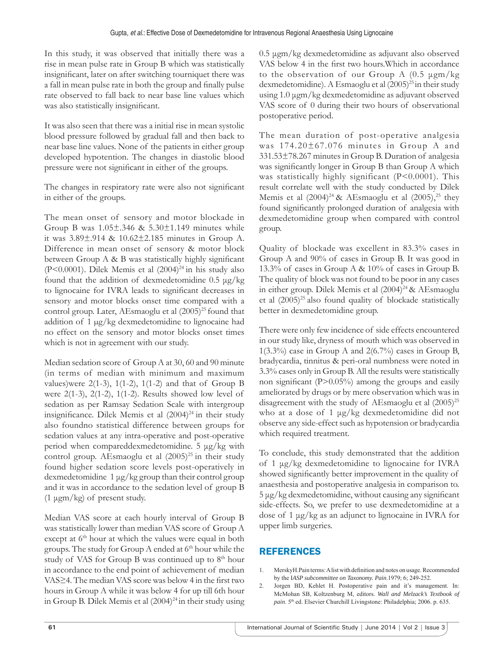In this study, it was observed that initially there was a rise in mean pulse rate in Group B which was statistically insignificant, later on after switching tourniquet there was a fall in mean pulse rate in both the group and finally pulse rate observed to fall back to near base line values which was also statistically insignificant.

It was also seen that there was a initial rise in mean systolic blood pressure followed by gradual fall and then back to near base line values. None of the patients in either group developed hypotention. The changes in diastolic blood pressure were not significant in either of the groups.

The changes in respiratory rate were also not significant in either of the groups.

The mean onset of sensory and motor blockade in Group B was  $1.05\pm346$  &  $5.30\pm1.149$  minutes while it was 3.89±.914 & 10.62±2.185 minutes in Group A. Difference in mean onset of sensory & motor block between Group  $A \& B$  was statistically highly significant (P<0.0001). Dilek Memis et al  $(2004)^{24}$  in his study also found that the addition of dexmedetomidine 0.5 μg/kg to lignocaine for IVRA leads to significant decreases in sensory and motor blocks onset time compared with a control group. Later, AEsmaoglu et al (2005)<sup>25</sup> found that addition of 1 μg/kg dexmedetomidine to lignocaine had no effect on the sensory and motor blocks onset times which is not in agreement with our study.

Median sedation score of Group A at 30, 60 and 90 minute (in terms of median with minimum and maximum values)were  $2(1-3)$ ,  $1(1-2)$ ,  $1(1-2)$  and that of Group B were 2(1-3), 2(1-2), 1(1-2). Results showed low level of sedation as per Ramsay Sedation Scale with intergroup insignificance. Dilek Memis et al  $(2004)^{24}$  in their study also foundno statistical difference between groups for sedation values at any intra-operative and post-operative period when compareddexmedetomidine. 5 μg/kg with control group. AEsmaoglu et al  $(2005)^{25}$  in their study found higher sedation score levels post-operatively in dexmedetomidine 1 μg/kg group than their control group and it was in accordance to the sedation level of group B (1 μgm/kg) of present study.

Median VAS score at each hourly interval of Group B was statistically lower than median VAS score of Group A except at  $6<sup>th</sup>$  hour at which the values were equal in both groups. The study for Group A ended at 6<sup>th</sup> hour while the study of VAS for Group B was continued up to  $8<sup>th</sup>$  hour in accordance to the end point of achievement of median VAS≥4. The median VAS score was below 4 in the first two hours in Group A while it was below 4 for up till 6th hour in Group B. Dilek Memis et al  $(2004)^{24}$  in their study using

0.5 μgm/kg dexmedetomidine as adjuvant also observed VAS below 4 in the first two hours. Which in accordance to the observation of our Group A (0.5 μgm/kg dexmedetomidine). A Esmaoglu et al  $(2005)^{25}$  in their study using 1.0 μgm/kg dexmedetomidine as adjuvant observed VAS score of 0 during their two hours of observational postoperative period.

The mean duration of post-operative analgesia was 174.20±67.076 minutes in Group A and 331.53±78.267 minutes in Group B. Duration of analgesia was significantly longer in Group B than Group A which was statistically highly significant (P<0.0001). This result correlate well with the study conducted by Dilek Memis et al  $(2004)^{24}$  & AEsmaoglu et al  $(2005)$ ,<sup>25</sup> they found significantly prolonged duration of analgesia with dexmedetomidine group when compared with control group.

Quality of blockade was excellent in 83.3% cases in Group A and 90% of cases in Group B. It was good in 13.3% of cases in Group A & 10% of cases in Group B. The quality of block was not found to be poor in any cases in either group. Dilek Memis et al (2004)<sup>24</sup> & AEsmaoglu et al (2005)<sup>25</sup> also found quality of blockade statistically better in dexmedetomidine group.

There were only few incidence of side effects encountered in our study like, dryness of mouth which was observed in  $1(3.3\%)$  case in Group A and  $2(6.7\%)$  cases in Group B, bradycardia, tinnitus & peri-oral numbness were noted in 3.3% cases only in Group B. All the results were statistically non significant  $(P>0.05\%)$  among the groups and easily ameliorated by drugs or by mere observation which was in disagreement with the study of AEsmaoglu et al (2005)<sup>25</sup> who at a dose of 1 μg/kg dexmedetomidine did not observe any side-effect such as hypotension or bradycardia which required treatment.

To conclude, this study demonstrated that the addition of 1 μg/kg dexmedetomidine to lignocaine for IVRA showed significantly better improvement in the quality of anaesthesia and postoperative analgesia in comparison to.  $5 \mu g/kg$  dexmedetomidine, without causing any significant side-effects. So, we prefer to use dexmedetomidine at a dose of 1 μg/kg as an adjunct to lignocaine in IVRA for upper limb surgeries.

# REFERENCES

- 1. MerskyH.Pain terms: A list with definition and notes on usage. Recommended by the I*ASP subcommittee on Taxonomy. Pain*.1979; 6; 249-252.
- 2. Jorgen BD, Kehlet H. Postoperative pain and it's management. In: McMohan SB, Koltzenburg M, editors. *Wall and Melzack's Textbook of pain*. 5th ed. Elsevier Churchill Livingstone: Philadelphia; 2006. p. 635.